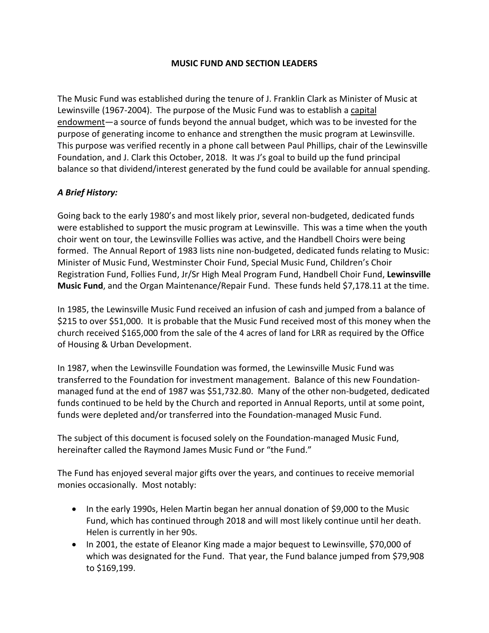#### **MUSIC FUND AND SECTION LEADERS**

The Music Fund was established during the tenure of J. Franklin Clark as Minister of Music at Lewinsville (1967-2004). The purpose of the Music Fund was to establish a capital endowment—a source of funds beyond the annual budget, which was to be invested for the purpose of generating income to enhance and strengthen the music program at Lewinsville. This purpose was verified recently in a phone call between Paul Phillips, chair of the Lewinsville Foundation, and J. Clark this October, 2018. It was J's goal to build up the fund principal balance so that dividend/interest generated by the fund could be available for annual spending.

## *A Brief History:*

Going back to the early 1980's and most likely prior, several non-budgeted, dedicated funds were established to support the music program at Lewinsville. This was a time when the youth choir went on tour, the Lewinsville Follies was active, and the Handbell Choirs were being formed. The Annual Report of 1983 lists nine non-budgeted, dedicated funds relating to Music: Minister of Music Fund, Westminster Choir Fund, Special Music Fund, Children's Choir Registration Fund, Follies Fund, Jr/Sr High Meal Program Fund, Handbell Choir Fund, **Lewinsville Music Fund**, and the Organ Maintenance/Repair Fund. These funds held \$7,178.11 at the time.

In 1985, the Lewinsville Music Fund received an infusion of cash and jumped from a balance of \$215 to over \$51,000. It is probable that the Music Fund received most of this money when the church received \$165,000 from the sale of the 4 acres of land for LRR as required by the Office of Housing & Urban Development.

In 1987, when the Lewinsville Foundation was formed, the Lewinsville Music Fund was transferred to the Foundation for investment management. Balance of this new Foundationmanaged fund at the end of 1987 was \$51,732.80. Many of the other non-budgeted, dedicated funds continued to be held by the Church and reported in Annual Reports, until at some point, funds were depleted and/or transferred into the Foundation-managed Music Fund.

The subject of this document is focused solely on the Foundation-managed Music Fund, hereinafter called the Raymond James Music Fund or "the Fund."

The Fund has enjoyed several major gifts over the years, and continues to receive memorial monies occasionally. Most notably:

- In the early 1990s, Helen Martin began her annual donation of \$9,000 to the Music Fund, which has continued through 2018 and will most likely continue until her death. Helen is currently in her 90s.
- In 2001, the estate of Eleanor King made a major bequest to Lewinsville, \$70,000 of which was designated for the Fund. That year, the Fund balance jumped from \$79,908 to \$169,199.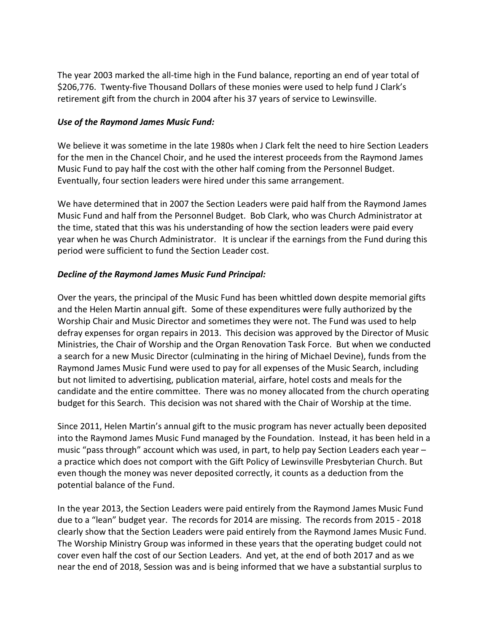The year 2003 marked the all-time high in the Fund balance, reporting an end of year total of \$206,776. Twenty-five Thousand Dollars of these monies were used to help fund J Clark's retirement gift from the church in 2004 after his 37 years of service to Lewinsville.

#### *Use of the Raymond James Music Fund:*

We believe it was sometime in the late 1980s when J Clark felt the need to hire Section Leaders for the men in the Chancel Choir, and he used the interest proceeds from the Raymond James Music Fund to pay half the cost with the other half coming from the Personnel Budget. Eventually, four section leaders were hired under this same arrangement.

We have determined that in 2007 the Section Leaders were paid half from the Raymond James Music Fund and half from the Personnel Budget. Bob Clark, who was Church Administrator at the time, stated that this was his understanding of how the section leaders were paid every year when he was Church Administrator. It is unclear if the earnings from the Fund during this period were sufficient to fund the Section Leader cost.

## *Decline of the Raymond James Music Fund Principal:*

Over the years, the principal of the Music Fund has been whittled down despite memorial gifts and the Helen Martin annual gift. Some of these expenditures were fully authorized by the Worship Chair and Music Director and sometimes they were not. The Fund was used to help defray expenses for organ repairs in 2013. This decision was approved by the Director of Music Ministries, the Chair of Worship and the Organ Renovation Task Force. But when we conducted a search for a new Music Director (culminating in the hiring of Michael Devine), funds from the Raymond James Music Fund were used to pay for all expenses of the Music Search, including but not limited to advertising, publication material, airfare, hotel costs and meals for the candidate and the entire committee. There was no money allocated from the church operating budget for this Search. This decision was not shared with the Chair of Worship at the time.

Since 2011, Helen Martin's annual gift to the music program has never actually been deposited into the Raymond James Music Fund managed by the Foundation. Instead, it has been held in a music "pass through" account which was used, in part, to help pay Section Leaders each year – a practice which does not comport with the Gift Policy of Lewinsville Presbyterian Church. But even though the money was never deposited correctly, it counts as a deduction from the potential balance of the Fund.

In the year 2013, the Section Leaders were paid entirely from the Raymond James Music Fund due to a "lean" budget year. The records for 2014 are missing. The records from 2015 - 2018 clearly show that the Section Leaders were paid entirely from the Raymond James Music Fund. The Worship Ministry Group was informed in these years that the operating budget could not cover even half the cost of our Section Leaders. And yet, at the end of both 2017 and as we near the end of 2018, Session was and is being informed that we have a substantial surplus to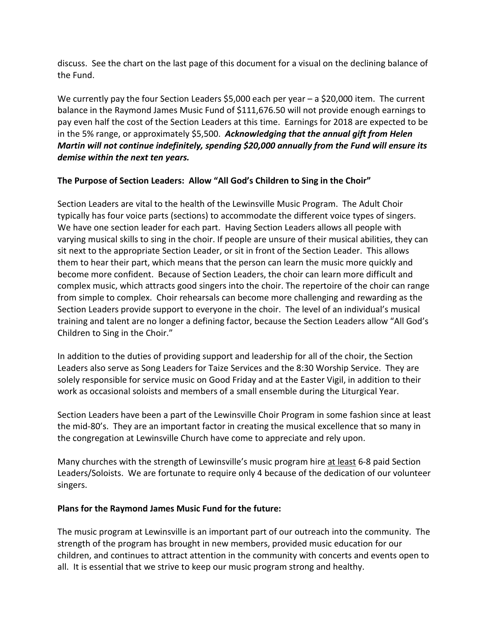discuss. See the chart on the last page of this document for a visual on the declining balance of the Fund.

We currently pay the four Section Leaders \$5,000 each per year – a \$20,000 item. The current balance in the Raymond James Music Fund of \$111,676.50 will not provide enough earnings to pay even half the cost of the Section Leaders at this time. Earnings for 2018 are expected to be in the 5% range, or approximately \$5,500. *Acknowledging that the annual gift from Helen Martin will not continue indefinitely, spending \$20,000 annually from the Fund will ensure its demise within the next ten years.*

# **The Purpose of Section Leaders: Allow "All God's Children to Sing in the Choir"**

Section Leaders are vital to the health of the Lewinsville Music Program. The Adult Choir typically has four voice parts (sections) to accommodate the different voice types of singers. We have one section leader for each part. Having Section Leaders allows all people with varying musical skills to sing in the choir. If people are unsure of their musical abilities, they can sit next to the appropriate Section Leader, or sit in front of the Section Leader. This allows them to hear their part, which means that the person can learn the music more quickly and become more confident. Because of Section Leaders, the choir can learn more difficult and complex music, which attracts good singers into the choir. The repertoire of the choir can range from simple to complex. Choir rehearsals can become more challenging and rewarding as the Section Leaders provide support to everyone in the choir. The level of an individual's musical training and talent are no longer a defining factor, because the Section Leaders allow "All God's Children to Sing in the Choir."

In addition to the duties of providing support and leadership for all of the choir, the Section Leaders also serve as Song Leaders for Taize Services and the 8:30 Worship Service. They are solely responsible for service music on Good Friday and at the Easter Vigil, in addition to their work as occasional soloists and members of a small ensemble during the Liturgical Year.

Section Leaders have been a part of the Lewinsville Choir Program in some fashion since at least the mid-80's. They are an important factor in creating the musical excellence that so many in the congregation at Lewinsville Church have come to appreciate and rely upon.

Many churches with the strength of Lewinsville's music program hire at least 6-8 paid Section Leaders/Soloists. We are fortunate to require only 4 because of the dedication of our volunteer singers.

## **Plans for the Raymond James Music Fund for the future:**

The music program at Lewinsville is an important part of our outreach into the community. The strength of the program has brought in new members, provided music education for our children, and continues to attract attention in the community with concerts and events open to all. It is essential that we strive to keep our music program strong and healthy.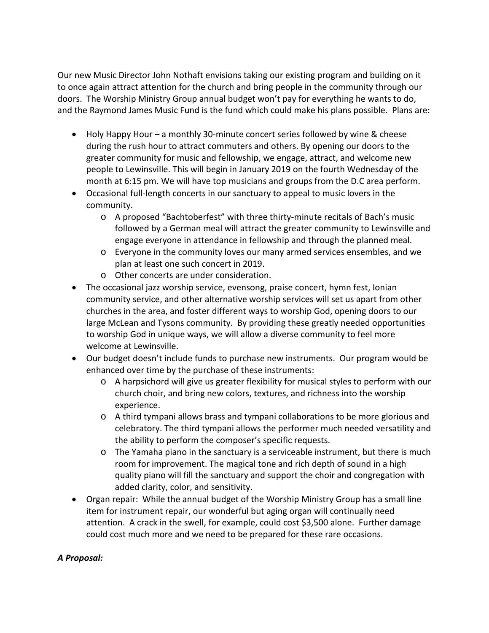Our new Music Director John Nothaft envisions taking our existing program and building on it to once again attract attention for the church and bring people in the community through our doors. The Worship Ministry Group annual budget won't pay for everything he wants to do, and the Raymond James Music Fund is the fund which could make his plans possible. Plans are:

- Holy Happy Hour a monthly 30-minute concert series followed by wine & cheese during the rush hour to attract commuters and others. By opening our doors to the greater community for music and fellowship, we engage, attract, and welcome new people to Lewinsville. This will begin in January 2019 on the fourth Wednesday of the month at 6:15 pm. We will have top musicians and groups from the D.C area perform.
- Occasional full-length concerts in our sanctuary to appeal to music lovers in the community.
	- o A proposed "Bachtoberfest" with three thirty-minute recitals of Bach's music followed by a German meal will attract the greater community to Lewinsville and engage everyone in attendance in fellowship and through the planned meal.
	- o Everyone in the community loves our many armed services ensembles, and we plan at least one such concert in 2019.
	- o Other concerts are under consideration.
- The occasional jazz worship service, evensong, praise concert, hymn fest, Ionian community service, and other alternative worship services will set us apart from other churches in the area, and foster different ways to worship God, opening doors to our large McLean and Tysons community. By providing these greatly needed opportunities to worship God in unique ways, we will allow a diverse community to feel more welcome at Lewinsville.
- Our budget doesn't include funds to purchase new instruments. Our program would be enhanced over time by the purchase of these instruments:
	- o A harpsichord will give us greater flexibility for musical styles to perform with our church choir, and bring new colors, textures, and richness into the worship experience.
	- o A third tympani allows brass and tympani collaborations to be more glorious and celebratory. The third tympani allows the performer much needed versatility and the ability to perform the composer's specific requests.
	- o The Yamaha piano in the sanctuary is a serviceable instrument, but there is much room for improvement. The magical tone and rich depth of sound in a high quality piano will fill the sanctuary and support the choir and congregation with added clarity, color, and sensitivity.
- Organ repair: While the annual budget of the Worship Ministry Group has a small line item for instrument repair, our wonderful but aging organ will continually need attention. A crack in the swell, for example, could cost \$3,500 alone. Further damage could cost much more and we need to be prepared for these rare occasions.

## *A Proposal:*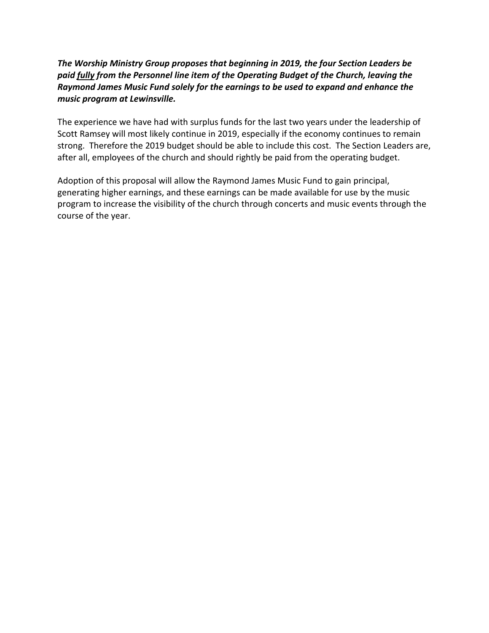## *The Worship Ministry Group proposes that beginning in 2019, the four Section Leaders be paid fully from the Personnel line item of the Operating Budget of the Church, leaving the Raymond James Music Fund solely for the earnings to be used to expand and enhance the music program at Lewinsville.*

The experience we have had with surplus funds for the last two years under the leadership of Scott Ramsey will most likely continue in 2019, especially if the economy continues to remain strong. Therefore the 2019 budget should be able to include this cost. The Section Leaders are, after all, employees of the church and should rightly be paid from the operating budget.

Adoption of this proposal will allow the Raymond James Music Fund to gain principal, generating higher earnings, and these earnings can be made available for use by the music program to increase the visibility of the church through concerts and music events through the course of the year.